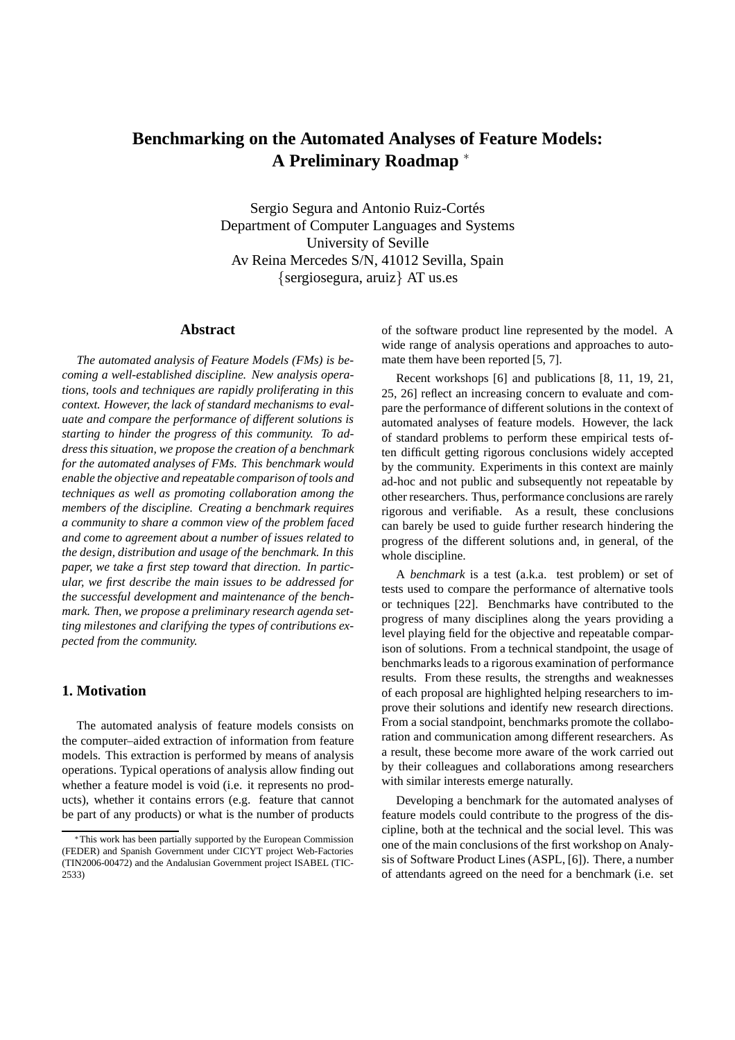# **Benchmarking on the Automated Analyses of Feature Models: A Preliminary Roadmap** <sup>∗</sup>

Sergio Segura and Antonio Ruiz-Cortés Department of Computer Languages and Systems University of Seville Av Reina Mercedes S/N, 41012 Sevilla, Spain {sergiosegura, aruiz} AT us.es

#### **Abstract**

*The automated analysis of Feature Models (FMs) is becoming a well-established discipline. New analysis operations, tools and techniques are rapidly proliferating in this context. However, the lack of standard mechanisms to evaluate and compare the performance of different solutions is starting to hinder the progress of this community. To address this situation, we propose the creation of a benchmark for the automated analyses of FMs. This benchmark would enable the objective and repeatable comparison of tools and techniques as well as promoting collaboration among the members of the discipline. Creating a benchmark requires a community to share a common view of the problem faced and come to agreement about a number of issues related to the design, distribution and usage of the benchmark. In this paper, we take a first step toward that direction. In particular, we first describe the main issues to be addressed for the successful development and maintenance of the benchmark. Then, we propose a preliminary research agenda setting milestones and clarifying the types of contributions expected from the community.*

# **1. Motivation**

The automated analysis of feature models consists on the computer–aided extraction of information from feature models. This extraction is performed by means of analysis operations. Typical operations of analysis allow finding out whether a feature model is void (i.e. it represents no products), whether it contains errors (e.g. feature that cannot be part of any products) or what is the number of products of the software product line represented by the model. A wide range of analysis operations and approaches to automate them have been reported [5, 7].

Recent workshops [6] and publications [8, 11, 19, 21, 25, 26] reflect an increasing concern to evaluate and compare the performance of different solutions in the context of automated analyses of feature models. However, the lack of standard problems to perform these empirical tests often difficult getting rigorous conclusions widely accepted by the community. Experiments in this context are mainly ad-hoc and not public and subsequently not repeatable by other researchers. Thus, performance conclusions are rarely rigorous and verifiable. As a result, these conclusions can barely be used to guide further research hindering the progress of the different solutions and, in general, of the whole discipline.

A *benchmark* is a test (a.k.a. test problem) or set of tests used to compare the performance of alternative tools or techniques [22]. Benchmarks have contributed to the progress of many disciplines along the years providing a level playing field for the objective and repeatable comparison of solutions. From a technical standpoint, the usage of benchmarks leads to a rigorous examination of performance results. From these results, the strengths and weaknesses of each proposal are highlighted helping researchers to improve their solutions and identify new research directions. From a social standpoint, benchmarks promote the collaboration and communication among different researchers. As a result, these become more aware of the work carried out by their colleagues and collaborations among researchers with similar interests emerge naturally.

Developing a benchmark for the automated analyses of feature models could contribute to the progress of the discipline, both at the technical and the social level. This was one of the main conclusions of the first workshop on Analysis of Software Product Lines (ASPL, [6]). There, a number of attendants agreed on the need for a benchmark (i.e. set

<sup>∗</sup>This work has been partially supported by the European Commission (FEDER) and Spanish Government under CICYT project Web-Factories (TIN2006-00472) and the Andalusian Government project ISABEL (TIC-2533)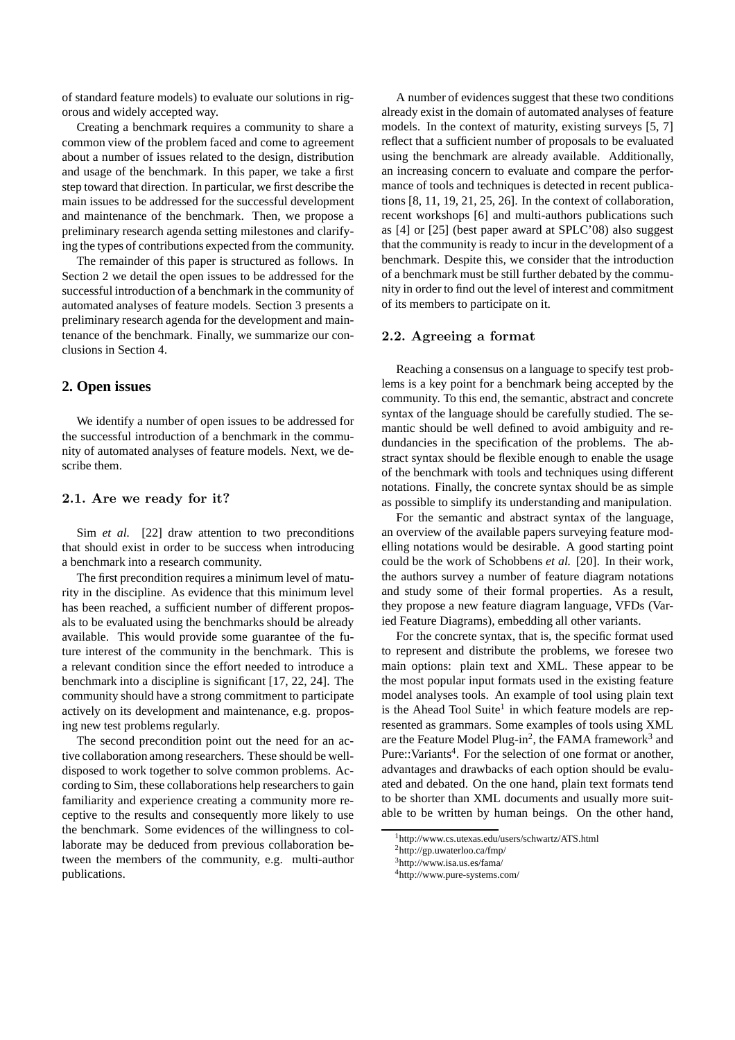of standard feature models) to evaluate our solutions in rigorous and widely accepted way.

Creating a benchmark requires a community to share a common view of the problem faced and come to agreement about a number of issues related to the design, distribution and usage of the benchmark. In this paper, we take a first step toward that direction. In particular, we first describe the main issues to be addressed for the successful development and maintenance of the benchmark. Then, we propose a preliminary research agenda setting milestones and clarifying the types of contributions expected from the community.

The remainder of this paper is structured as follows. In Section 2 we detail the open issues to be addressed for the successful introduction of a benchmark in the community of automated analyses of feature models. Section 3 presents a preliminary research agenda for the development and maintenance of the benchmark. Finally, we summarize our conclusions in Section 4.

# **2. Open issues**

We identify a number of open issues to be addressed for the successful introduction of a benchmark in the community of automated analyses of feature models. Next, we describe them.

#### 2.1. Are we ready for it?

Sim *et al.* [22] draw attention to two preconditions that should exist in order to be success when introducing a benchmark into a research community.

The first precondition requires a minimum level of maturity in the discipline. As evidence that this minimum level has been reached, a sufficient number of different proposals to be evaluated using the benchmarks should be already available. This would provide some guarantee of the future interest of the community in the benchmark. This is a relevant condition since the effort needed to introduce a benchmark into a discipline is significant [17, 22, 24]. The community should have a strong commitment to participate actively on its development and maintenance, e.g. proposing new test problems regularly.

The second precondition point out the need for an active collaboration among researchers. These should be welldisposed to work together to solve common problems. According to Sim, these collaborations help researchers to gain familiarity and experience creating a community more receptive to the results and consequently more likely to use the benchmark. Some evidences of the willingness to collaborate may be deduced from previous collaboration between the members of the community, e.g. multi-author publications.

A number of evidences suggest that these two conditions already exist in the domain of automated analyses of feature models. In the context of maturity, existing surveys [5, 7] reflect that a sufficient number of proposals to be evaluated using the benchmark are already available. Additionally, an increasing concern to evaluate and compare the performance of tools and techniques is detected in recent publications [8, 11, 19, 21, 25, 26]. In the context of collaboration, recent workshops [6] and multi-authors publications such as [4] or [25] (best paper award at SPLC'08) also suggest that the community is ready to incur in the development of a benchmark. Despite this, we consider that the introduction of a benchmark must be still further debated by the community in order to find out the level of interest and commitment of its members to participate on it.

#### 2.2. Agreeing a format

Reaching a consensus on a language to specify test problems is a key point for a benchmark being accepted by the community. To this end, the semantic, abstract and concrete syntax of the language should be carefully studied. The semantic should be well defined to avoid ambiguity and redundancies in the specification of the problems. The abstract syntax should be flexible enough to enable the usage of the benchmark with tools and techniques using different notations. Finally, the concrete syntax should be as simple as possible to simplify its understanding and manipulation.

For the semantic and abstract syntax of the language, an overview of the available papers surveying feature modelling notations would be desirable. A good starting point could be the work of Schobbens *et al.* [20]. In their work, the authors survey a number of feature diagram notations and study some of their formal properties. As a result, they propose a new feature diagram language, VFDs (Varied Feature Diagrams), embedding all other variants.

For the concrete syntax, that is, the specific format used to represent and distribute the problems, we foresee two main options: plain text and XML. These appear to be the most popular input formats used in the existing feature model analyses tools. An example of tool using plain text is the Ahead Tool Suite<sup>1</sup> in which feature models are represented as grammars. Some examples of tools using XML are the Feature Model Plug-in<sup>2</sup>, the FAMA framework<sup>3</sup> and Pure::Variants<sup>4</sup>. For the selection of one format or another, advantages and drawbacks of each option should be evaluated and debated. On the one hand, plain text formats tend to be shorter than XML documents and usually more suitable to be written by human beings. On the other hand,

<sup>1</sup>http://www.cs.utexas.edu/users/schwartz/ATS.html

<sup>2</sup>http://gp.uwaterloo.ca/fmp/

<sup>3</sup>http://www.isa.us.es/fama/

<sup>4</sup>http://www.pure-systems.com/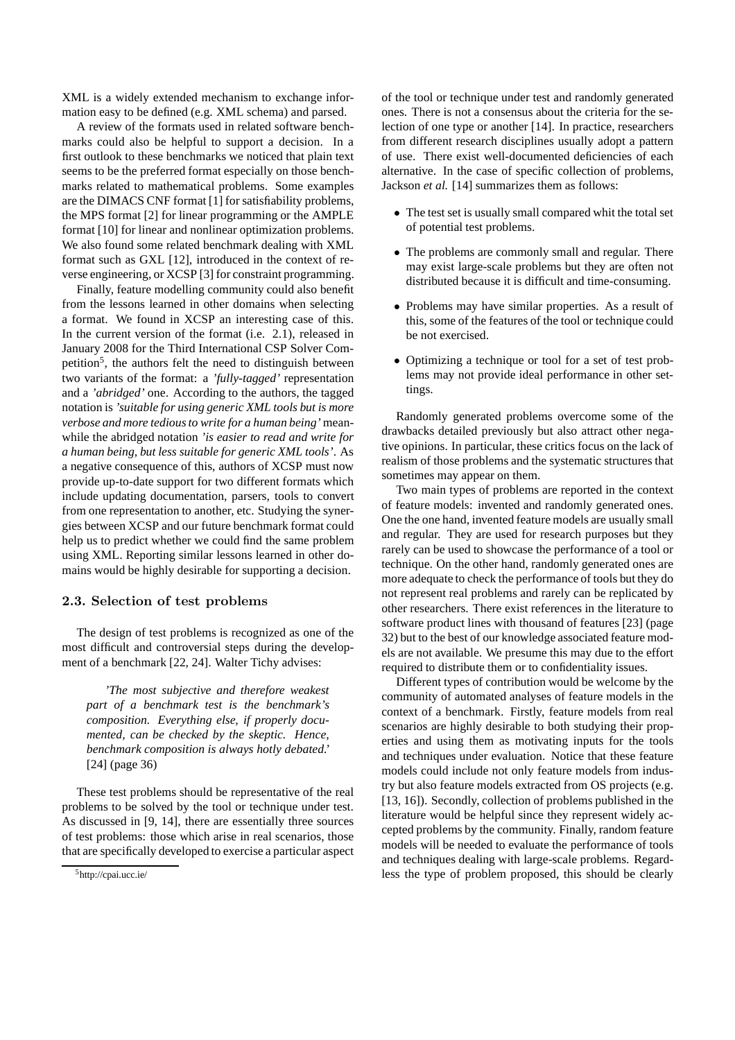XML is a widely extended mechanism to exchange information easy to be defined (e.g. XML schema) and parsed.

A review of the formats used in related software benchmarks could also be helpful to support a decision. In a first outlook to these benchmarks we noticed that plain text seems to be the preferred format especially on those benchmarks related to mathematical problems. Some examples are the DIMACS CNF format [1] for satisfiability problems, the MPS format [2] for linear programming or the AMPLE format [10] for linear and nonlinear optimization problems. We also found some related benchmark dealing with XML format such as GXL [12], introduced in the context of reverse engineering, or XCSP [3] for constraint programming.

Finally, feature modelling community could also benefit from the lessons learned in other domains when selecting a format. We found in XCSP an interesting case of this. In the current version of the format (i.e. 2.1), released in January 2008 for the Third International CSP Solver Competition<sup>5</sup>, the authors felt the need to distinguish between two variants of the format: a *'fully-tagged'* representation and a *'abridged'* one. According to the authors, the tagged notation is *'suitable for using generic XML tools but is more verbose and more tedious to write for a human being'* meanwhile the abridged notation *'is easier to read and write for a human being, but less suitable for generic XML tools'*. As a negative consequence of this, authors of XCSP must now provide up-to-date support for two different formats which include updating documentation, parsers, tools to convert from one representation to another, etc. Studying the synergies between XCSP and our future benchmark format could help us to predict whether we could find the same problem using XML. Reporting similar lessons learned in other domains would be highly desirable for supporting a decision.

#### 2.3. Selection of test problems

The design of test problems is recognized as one of the most difficult and controversial steps during the development of a benchmark [22, 24]. Walter Tichy advises:

*'The most subjective and therefore weakest part of a benchmark test is the benchmark's composition. Everything else, if properly documented, can be checked by the skeptic. Hence, benchmark composition is always hotly debated.'* [24] (page 36)

These test problems should be representative of the real problems to be solved by the tool or technique under test. As discussed in [9, 14], there are essentially three sources of test problems: those which arise in real scenarios, those that are specifically developed to exercise a particular aspect of the tool or technique under test and randomly generated ones. There is not a consensus about the criteria for the selection of one type or another [14]. In practice, researchers from different research disciplines usually adopt a pattern of use. There exist well-documented deficiencies of each alternative. In the case of specific collection of problems, Jackson *et al.* [14] summarizes them as follows:

- The test set is usually small compared whit the total set of potential test problems.
- The problems are commonly small and regular. There may exist large-scale problems but they are often not distributed because it is difficult and time-consuming.
- Problems may have similar properties. As a result of this, some of the features of the tool or technique could be not exercised.
- Optimizing a technique or tool for a set of test problems may not provide ideal performance in other settings.

Randomly generated problems overcome some of the drawbacks detailed previously but also attract other negative opinions. In particular, these critics focus on the lack of realism of those problems and the systematic structures that sometimes may appear on them.

Two main types of problems are reported in the context of feature models: invented and randomly generated ones. One the one hand, invented feature models are usually small and regular. They are used for research purposes but they rarely can be used to showcase the performance of a tool or technique. On the other hand, randomly generated ones are more adequate to check the performance of tools but they do not represent real problems and rarely can be replicated by other researchers. There exist references in the literature to software product lines with thousand of features [23] (page 32) but to the best of our knowledge associated feature models are not available. We presume this may due to the effort required to distribute them or to confidentiality issues.

Different types of contribution would be welcome by the community of automated analyses of feature models in the context of a benchmark. Firstly, feature models from real scenarios are highly desirable to both studying their properties and using them as motivating inputs for the tools and techniques under evaluation. Notice that these feature models could include not only feature models from industry but also feature models extracted from OS projects (e.g. [13, 16]). Secondly, collection of problems published in the literature would be helpful since they represent widely accepted problems by the community. Finally, random feature models will be needed to evaluate the performance of tools and techniques dealing with large-scale problems. Regardless the type of problem proposed, this should be clearly

<sup>5</sup>http://cpai.ucc.ie/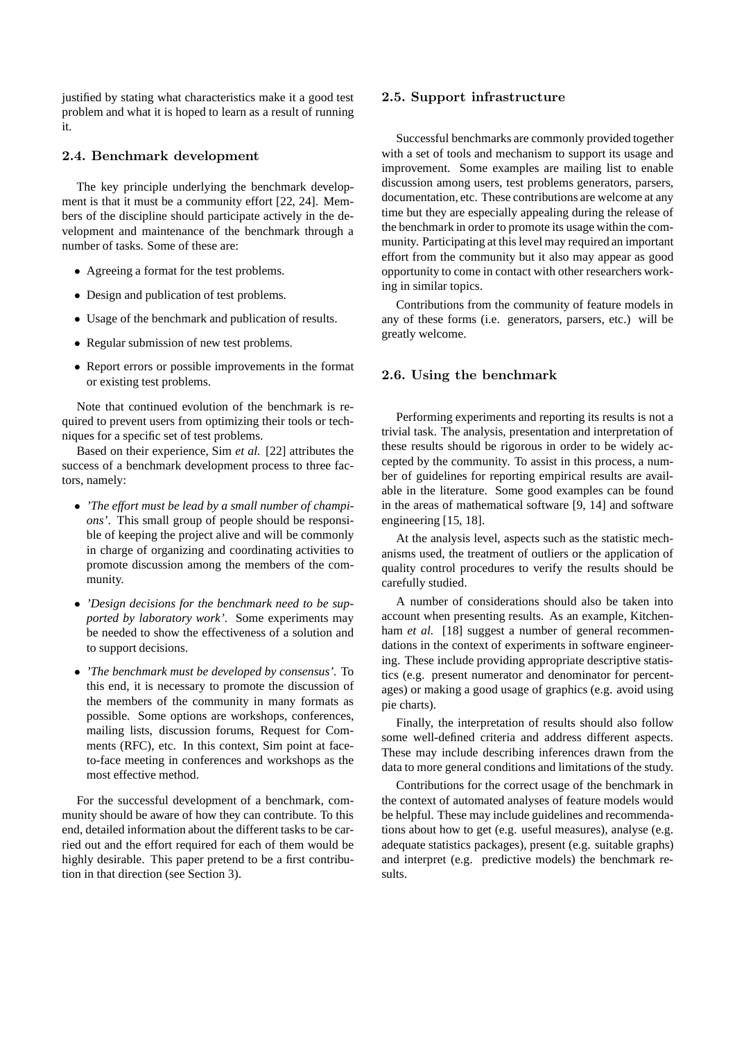justified by stating what characteristics make it a good test problem and what it is hoped to learn as a result of running it.

# 2.4. Benchmark development

The key principle underlying the benchmark development is that it must be a community effort [22, 24]. Members of the discipline should participate actively in the development and maintenance of the benchmark through a number of tasks. Some of these are:

- Agreeing a format for the test problems.
- Design and publication of test problems.
- Usage of the benchmark and publication of results.
- Regular submission of new test problems.
- Report errors or possible improvements in the format or existing test problems.

Note that continued evolution of the benchmark is required to prevent users from optimizing their tools or techniques for a specific set of test problems.

Based on their experience, Sim *et al.* [22] attributes the success of a benchmark development process to three factors, namely:

- *'The effort must be lead by a small number of champions'*. This small group of people should be responsible of keeping the project alive and will be commonly in charge of organizing and coordinating activities to promote discussion among the members of the community.
- *'Design decisions for the benchmark need to be supported by laboratory work'.* Some experiments may be needed to show the effectiveness of a solution and to support decisions.
- *'The benchmark must be developed by consensus'.* To this end, it is necessary to promote the discussion of the members of the community in many formats as possible. Some options are workshops, conferences, mailing lists, discussion forums, Request for Comments (RFC), etc. In this context, Sim point at faceto-face meeting in conferences and workshops as the most effective method.

For the successful development of a benchmark, community should be aware of how they can contribute. To this end, detailed information about the different tasks to be carried out and the effort required for each of them would be highly desirable. This paper pretend to be a first contribution in that direction (see Section 3).

#### 2.5. Support infrastructure

Successful benchmarks are commonly provided together with a set of tools and mechanism to support its usage and improvement. Some examples are mailing list to enable discussion among users, test problems generators, parsers, documentation, etc. These contributions are welcome at any time but they are especially appealing during the release of the benchmark in order to promote its usage within the community. Participating at this level may required an important effort from the community but it also may appear as good opportunity to come in contact with other researchers working in similar topics.

Contributions from the community of feature models in any of these forms (i.e. generators, parsers, etc.) will be greatly welcome.

## 2.6. Using the benchmark

Performing experiments and reporting its results is not a trivial task. The analysis, presentation and interpretation of these results should be rigorous in order to be widely accepted by the community. To assist in this process, a number of guidelines for reporting empirical results are available in the literature. Some good examples can be found in the areas of mathematical software [9, 14] and software engineering [15, 18].

At the analysis level, aspects such as the statistic mechanisms used, the treatment of outliers or the application of quality control procedures to verify the results should be carefully studied.

A number of considerations should also be taken into account when presenting results. As an example, Kitchenham *et al.* [18] suggest a number of general recommendations in the context of experiments in software engineering. These include providing appropriate descriptive statistics (e.g. present numerator and denominator for percentages) or making a good usage of graphics (e.g. avoid using pie charts).

Finally, the interpretation of results should also follow some well-defined criteria and address different aspects. These may include describing inferences drawn from the data to more general conditions and limitations of the study.

Contributions for the correct usage of the benchmark in the context of automated analyses of feature models would be helpful. These may include guidelines and recommendations about how to get (e.g. useful measures), analyse (e.g. adequate statistics packages), present (e.g. suitable graphs) and interpret (e.g. predictive models) the benchmark results.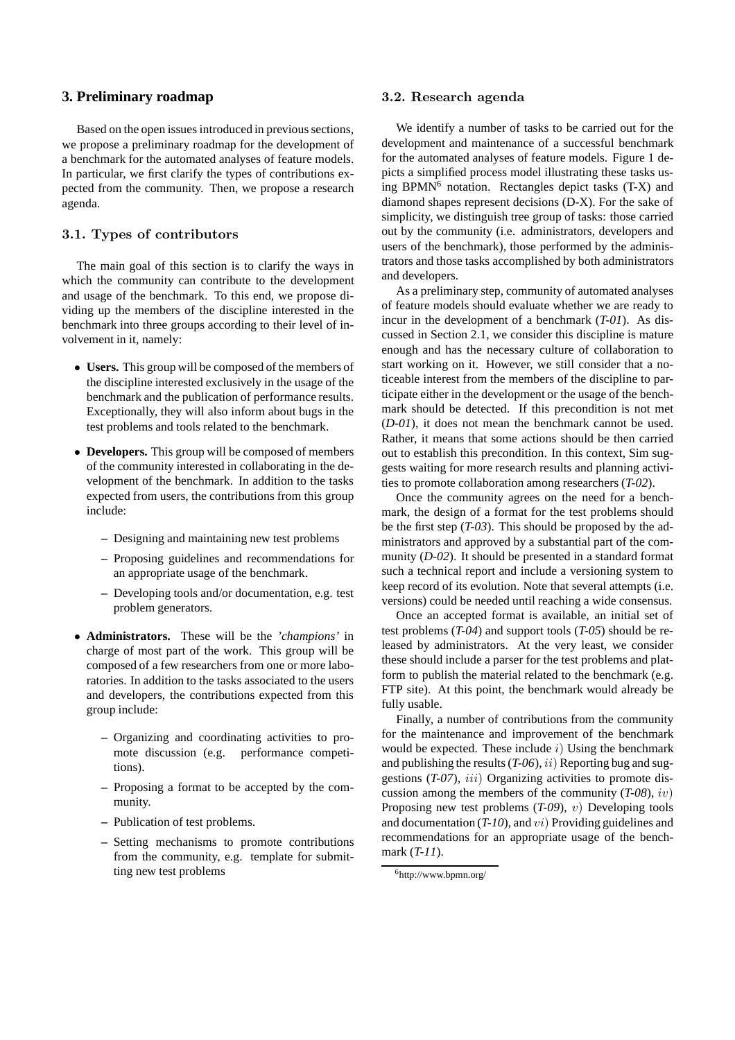# **3. Preliminary roadmap**

Based on the open issues introduced in previous sections, we propose a preliminary roadmap for the development of a benchmark for the automated analyses of feature models. In particular, we first clarify the types of contributions expected from the community. Then, we propose a research agenda.

## 3.1. Types of contributors

The main goal of this section is to clarify the ways in which the community can contribute to the development and usage of the benchmark. To this end, we propose dividing up the members of the discipline interested in the benchmark into three groups according to their level of involvement in it, namely:

- **Users.** This group will be composed of the members of the discipline interested exclusively in the usage of the benchmark and the publication of performance results. Exceptionally, they will also inform about bugs in the test problems and tools related to the benchmark.
- **Developers.** This group will be composed of members of the community interested in collaborating in the development of the benchmark. In addition to the tasks expected from users, the contributions from this group include:
	- **–** Designing and maintaining new test problems
	- **–** Proposing guidelines and recommendations for an appropriate usage of the benchmark.
	- **–** Developing tools and/or documentation, e.g. test problem generators.
- **Administrators.** These will be the *'champions'* in charge of most part of the work. This group will be composed of a few researchers from one or more laboratories. In addition to the tasks associated to the users and developers, the contributions expected from this group include:
	- **–** Organizing and coordinating activities to promote discussion (e.g. performance competitions).
	- **–** Proposing a format to be accepted by the community.
	- **–** Publication of test problems.
	- **–** Setting mechanisms to promote contributions from the community, e.g. template for submitting new test problems

## 3.2. Research agenda

We identify a number of tasks to be carried out for the development and maintenance of a successful benchmark for the automated analyses of feature models. Figure 1 depicts a simplified process model illustrating these tasks using  $BPMN<sup>6</sup>$  notation. Rectangles depict tasks  $(T-X)$  and diamond shapes represent decisions (D-X). For the sake of simplicity, we distinguish tree group of tasks: those carried out by the community (i.e. administrators, developers and users of the benchmark), those performed by the administrators and those tasks accomplished by both administrators and developers.

As a preliminary step, community of automated analyses of feature models should evaluate whether we are ready to incur in the development of a benchmark (*T-01*). As discussed in Section 2.1, we consider this discipline is mature enough and has the necessary culture of collaboration to start working on it. However, we still consider that a noticeable interest from the members of the discipline to participate either in the development or the usage of the benchmark should be detected. If this precondition is not met (*D-01*), it does not mean the benchmark cannot be used. Rather, it means that some actions should be then carried out to establish this precondition. In this context, Sim suggests waiting for more research results and planning activities to promote collaboration among researchers (*T-02*).

Once the community agrees on the need for a benchmark, the design of a format for the test problems should be the first step (*T-03*). This should be proposed by the administrators and approved by a substantial part of the community (*D-02*). It should be presented in a standard format such a technical report and include a versioning system to keep record of its evolution. Note that several attempts (i.e. versions) could be needed until reaching a wide consensus.

Once an accepted format is available, an initial set of test problems (*T-04*) and support tools (*T-05*) should be released by administrators. At the very least, we consider these should include a parser for the test problems and platform to publish the material related to the benchmark (e.g. FTP site). At this point, the benchmark would already be fully usable.

Finally, a number of contributions from the community for the maintenance and improvement of the benchmark would be expected. These include  $i$ ) Using the benchmark and publishing the results (*T-06*), ii) Reporting bug and suggestions (*T-07*), *iii*) Organizing activities to promote discussion among the members of the community (*T-08*), iv) Proposing new test problems (*T-09*), v) Developing tools and documentation (*T-10*), and vi) Providing guidelines and recommendations for an appropriate usage of the benchmark (*T-11*).

<sup>6</sup>http://www.bpmn.org/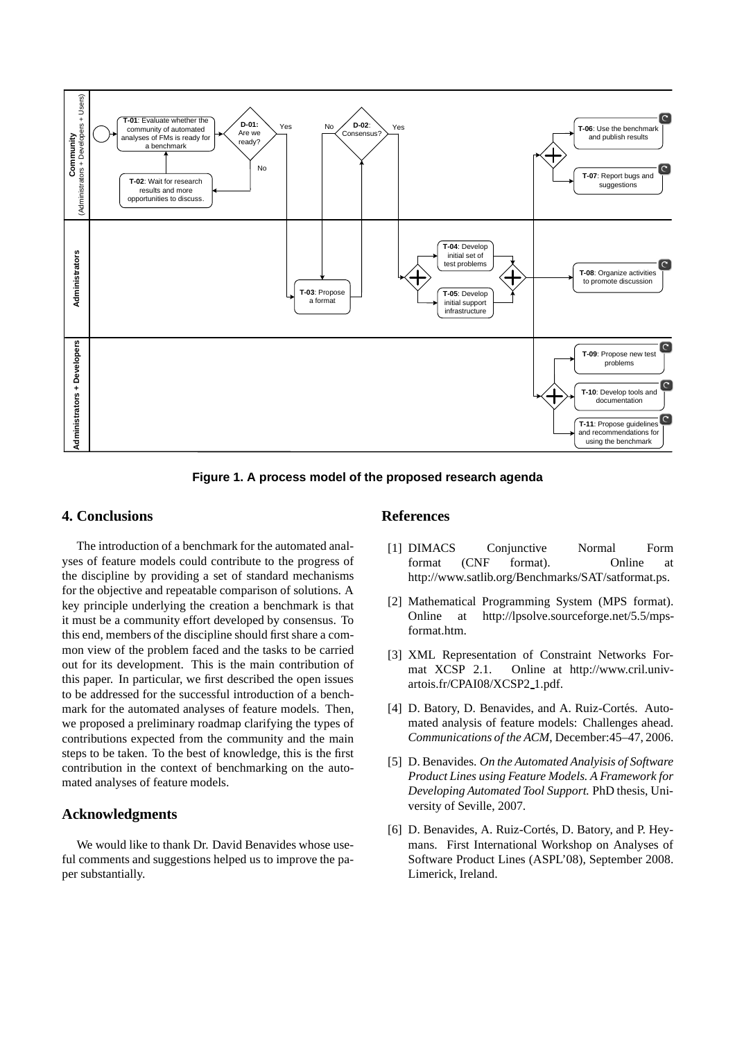

**Figure 1. A process model of the proposed research agenda**

# **4. Conclusions**

The introduction of a benchmark for the automated analyses of feature models could contribute to the progress of the discipline by providing a set of standard mechanisms for the objective and repeatable comparison of solutions. A key principle underlying the creation a benchmark is that it must be a community effort developed by consensus. To this end, members of the discipline should first share a common view of the problem faced and the tasks to be carried out for its development. This is the main contribution of this paper. In particular, we first described the open issues to be addressed for the successful introduction of a benchmark for the automated analyses of feature models. Then, we proposed a preliminary roadmap clarifying the types of contributions expected from the community and the main steps to be taken. To the best of knowledge, this is the first contribution in the context of benchmarking on the automated analyses of feature models.

# **Acknowledgments**

We would like to thank Dr. David Benavides whose useful comments and suggestions helped us to improve the paper substantially.

# **References**

- [1] DIMACS Conjunctive Normal Form format (CNF format). Online at http://www.satlib.org/Benchmarks/SAT/satformat.ps.
- [2] Mathematical Programming System (MPS format). Online at http://lpsolve.sourceforge.net/5.5/mpsformat.htm.
- [3] XML Representation of Constraint Networks Format XCSP 2.1. Online at http://www.cril.univartois.fr/CPAI08/XCSP2\_1.pdf.
- [4] D. Batory, D. Benavides, and A. Ruiz-Cortés. Automated analysis of feature models: Challenges ahead. *Communications of the ACM*, December:45–47, 2006.
- [5] D. Benavides. *On the Automated Analyisis of Software Product Lines using Feature Models. A Framework for Developing Automated Tool Support.* PhD thesis, University of Seville, 2007.
- [6] D. Benavides, A. Ruiz-Cortés, D. Batory, and P. Heymans. First International Workshop on Analyses of Software Product Lines (ASPL'08), September 2008. Limerick, Ireland.